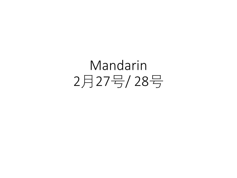## Mandarin 2月27号/ 28号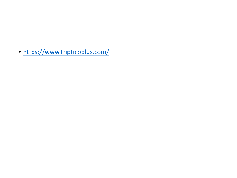• <https://www.tripticoplus.com/>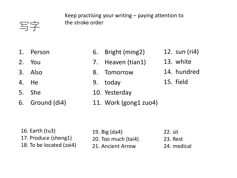Keep practising your writing – paying attention to the stroke order

写字

- 1. Person
- 2. You
- 3. Also
- 4. He
- 5. She
- 6. Ground (di4)
- 6. Bright (ming2) 12. sun (ri4)
- 7. Heaven (tian1)
- 8. Tomorrow
- 9. today
- 10. Yesterday
- 11. Work (gong1 zuo4)
- 13. white
- 
- 14. hundred
- 15. field

16. Earth (tu3) 17. Produce (sheng1) 18. To be located (zai4) 19. Big (da4) 20. Too much (tai4) 21. Ancient Arrow 22. sit 23. Rest 24. medical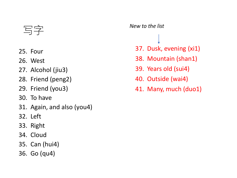## 写字

- 25. Four
- 26. West
- 27. Alcohol (jiu3)
- 28. Friend (peng2)
- 29. Friend (you3)
- 30. To have
- 31. Again, and also (you4)
- 32. Left
- 33. Right
- 34. Cloud
- 35. Can (hui4)
- 36. Go (qu4)

## *New to the list*

- 37. Dusk, evening (xi1)
- 38. Mountain (shan1)
- 39. Years old (sui4)
- 40. Outside (wai4)
- 41. Many, much (duo1)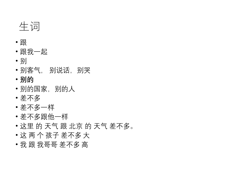## 生词

- 跟
- 跟我一起
- 别
- 别客气, 别说话,别哭
- **别的**
- 别的国家, 别的人
- 差不多
- 差不多一样
- 差不多跟他一样
- 这里 的 天气 跟 北京 的 天气 差不多。
- 这 两 个 孩子 差不多 大
- 我 跟 我哥哥 差不多 高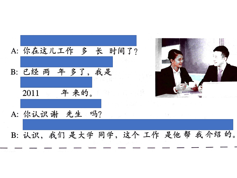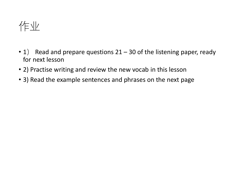作业

- 1) Read and prepare questions  $21 30$  of the listening paper, ready for next lesson
- 2) Practise writing and review the new vocab in this lesson
- 3) Read the example sentences and phrases on the next page